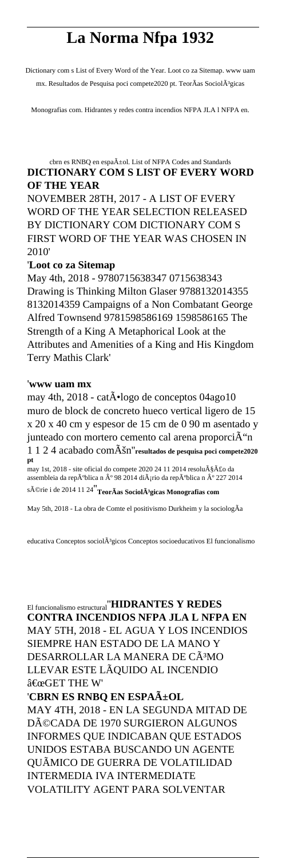## **La Norma Nfpa 1932**

Dictionary com s List of Every Word of the Year. Loot co za Sitemap. www uam mx. Resultados de Pesquisa poci compete2020 pt. TeorÃas SociolÃ<sup>3</sup>gicas

Monografias com. Hidrantes y redes contra incendios NFPA JLA l NFPA en.

## cbrn es RNBQ en espa $\tilde{A}$ ±ol. List of NFPA Codes and Standards **DICTIONARY COM S LIST OF EVERY WORD OF THE YEAR**

NOVEMBER 28TH, 2017 - A LIST OF EVERY WORD OF THE YEAR SELECTION RELEASED BY DICTIONARY COM DICTIONARY COM S FIRST WORD OF THE YEAR WAS CHOSEN IN 2010'

## '**Loot co za Sitemap**

May 4th, 2018 - 9780715638347 0715638343 Drawing is Thinking Milton Glaser 9788132014355 8132014359 Campaigns of a Non Combatant George Alfred Townsend 9781598586169 1598586165 The Strength of a King A Metaphorical Look at the Attributes and Amenities of a King and His Kingdom Terry Mathis Clark'

## '**www uam mx**

may 4th, 2018 - cat $\tilde{A}$ ·logo de conceptos 04ago10 muro de block de concreto hueco vertical ligero de 15 x 20 x 40 cm y espesor de 15 cm de 0 90 m asentado y junteado con mortero cemento cal arena proporciÁ"n 1 1 2 4 acabado comÚn''**resultados de pesquisa poci compete2020 pt** may 1st, 2018 - site oficial do compete 2020 24 11 2014 resolu $\tilde{A}\$ Å£o da

assembleia da república n º 98 2014 diário da república n º 227 2014 série i de 2014 11 24''**TeorÃas Sociológicas Monografias com**

May 5th, 2018 - La obra de Comte el positivismo Durkheim y la sociologÃa

educativa Conceptos sociol $\tilde{A}$ <sup>3</sup>gicos Conceptos socioeducativos El funcionalismo

El funcionalismo estructural''**HIDRANTES Y REDES CONTRA INCENDIOS NFPA JLA L NFPA EN** MAY 5TH, 2018 - EL AGUA Y LOS INCENDIOS SIEMPRE HAN ESTADO DE LA MANO Y DESARROLLAR LA MANERA DE CÃ<sup>3</sup>MO LLEVAR ESTE LÃQUIDO AL INCENDIO  $\hat{a} \in \alpha$ GET THE W'

'**CBRN ES RNBQ EN ESPAñOL** MAY 4TH, 2018 - EN LA SEGUNDA MITAD DE DéCADA DE 1970 SURGIERON ALGUNOS INFORMES QUE INDICABAN QUE ESTADOS UNIDOS ESTABA BUSCANDO UN AGENTE QUÃMICO DE GUERRA DE VOLATILIDAD INTERMEDIA IVA INTERMEDIATE VOLATILITY AGENT PARA SOLVENTAR